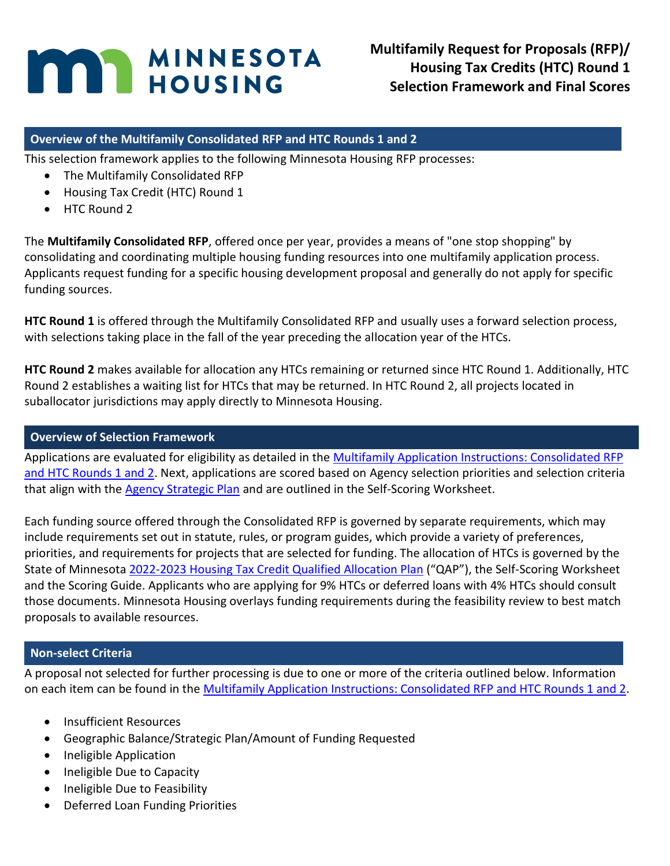# **MINNESOTA**

**Multifamily Request for Proposals (RFP)/ Housing Tax Credits (HTC) Round 1 Selection Framework and Final Scores**

#### **Overview of the Multifamily Consolidated RFP and HTC Rounds 1 and 2**

This selection framework applies to the following Minnesota Housing RFP processes:

- The Multifamily Consolidated RFP
- Housing Tax Credit (HTC) Round 1
- HTC Round 2

The **Multifamily Consolidated RFP**, offered once per year, provides a means of "one stop shopping" by consolidating and coordinating multiple housing funding resources into one multifamily application process. Applicants request funding for a specific housing development proposal and generally do not apply for specific funding sources.

**HTC Round 1** is offered through the Multifamily Consolidated RFP and usually uses a forward selection process, with selections taking place in the fall of the year preceding the allocation year of the HTCs.

**HTC Round 2** makes available for allocation any HTCs remaining or returned since HTC Round 1. Additionally, HTC Round 2 establishes a waiting list for HTCs that may be returned. In HTC Round 2, all projects located in suballocator jurisdictions may apply directly to Minnesota Housing.

#### **Overview of Selection Framework**

Applications are evaluated for eligibility as detailed in the Multifamily Application Instructions: Consolidated RFP [and HTC Rounds 1 and 2.](http://www.mnhousing.gov/get/MHFA_247784) Next, applications are scored based on Agency selection priorities and selection criteria that align with the [Agency Strategic Plan](https://www.mnhousing.gov/sites/np/about) and are outlined in the Self-Scoring Worksheet.

Each funding source offered through the Consolidated RFP is governed by separate requirements, which may include requirements set out in statute, rules, or program guides, which provide a variety of preferences, priorities, and requirements for projects that are selected for funding. The allocation of HTCs is governed by the State of Minnesota 2022-2023 [Housing Tax Credit Qualified Allocation Plan](http://www.mnhousing.gov/get/MHFA_238915) ("QAP"), the Self-Scoring Worksheet and the Scoring Guide. Applicants who are applying for 9% HTCs or deferred loans with 4% HTCs should consult those documents. Minnesota Housing overlays funding requirements during the feasibility review to best match proposals to available resources.

#### **Non-select Criteria**

A proposal not selected for further processing is due to one or more of the criteria outlined below. Information on each item can be found in th[e Multifamily Application Instructions: Consolidated RFP and HTC Rounds 1 and 2.](http://www.mnhousing.gov/get/MHFA_247784)

- Insufficient Resources
- Geographic Balance/Strategic Plan/Amount of Funding Requested
- Ineligible Application
- Ineligible Due to Capacity
- Ineligible Due to Feasibility
- Deferred Loan Funding Priorities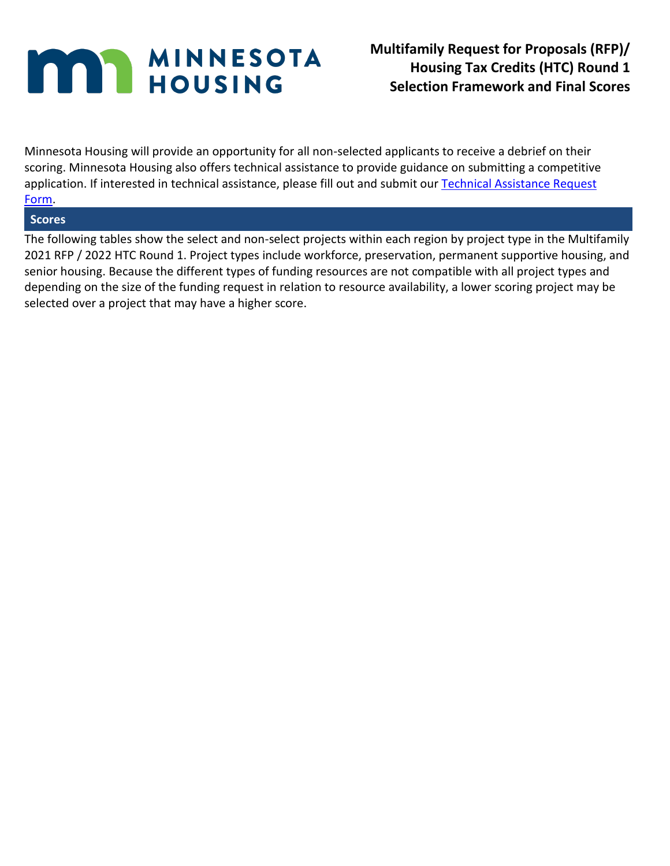Minnesota Housing will provide an opportunity for all non-selected applicants to receive a debrief on their scoring. Minnesota Housing also offers technical assistance to provide guidance on submitting a competitive application. If interested in technical assistance, please fill out and submit our Technical Assistance Request [Form.](https://www.cvent.com/surveys/Questions/SurveyMain.aspx?r=557957d5-e62d-4336-9728-8b9b3bb7df67&ma=0)

#### **Scores**

The following tables show the select and non-select projects within each region by project type in the Multifamily 2021 RFP / 2022 HTC Round 1. Project types include workforce, preservation, permanent supportive housing, and senior housing. Because the different types of funding resources are not compatible with all project types and depending on the size of the funding request in relation to resource availability, a lower scoring project may be selected over a project that may have a higher score.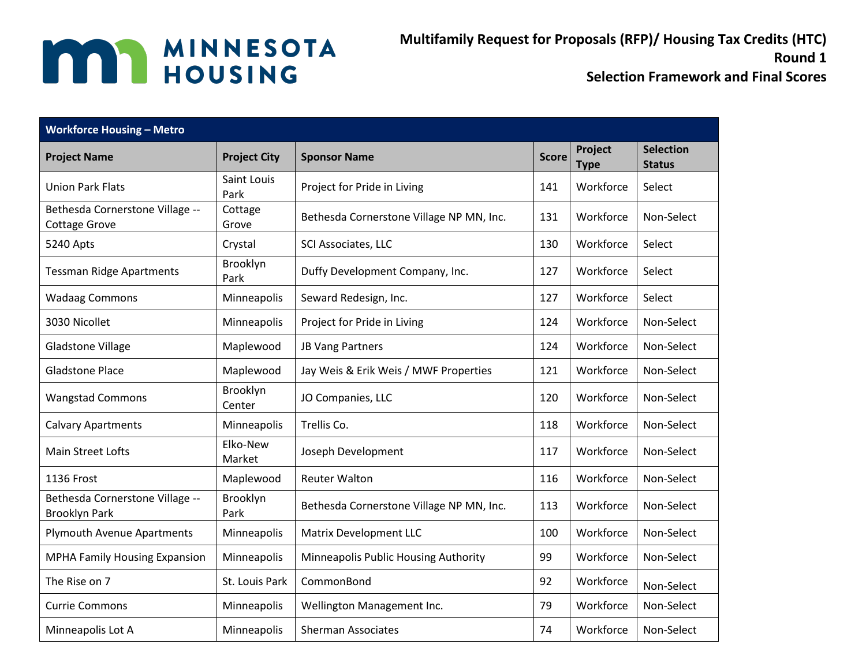**Multifamily Request for Proposals (RFP)/ Housing Tax Credits (HTC) Round 1**

| <b>Workforce Housing - Metro</b>                        |                     |                                          |              |                        |                                   |  |  |
|---------------------------------------------------------|---------------------|------------------------------------------|--------------|------------------------|-----------------------------------|--|--|
| <b>Project Name</b>                                     | <b>Project City</b> | <b>Sponsor Name</b>                      | <b>Score</b> | Project<br><b>Type</b> | <b>Selection</b><br><b>Status</b> |  |  |
| <b>Union Park Flats</b>                                 | Saint Louis<br>Park | Project for Pride in Living              | 141          | Workforce              | Select                            |  |  |
| Bethesda Cornerstone Village --<br><b>Cottage Grove</b> | Cottage<br>Grove    | Bethesda Cornerstone Village NP MN, Inc. | 131          | Workforce              | Non-Select                        |  |  |
| 5240 Apts                                               | Crystal             | SCI Associates, LLC                      | 130          | Workforce              | Select                            |  |  |
| <b>Tessman Ridge Apartments</b>                         | Brooklyn<br>Park    | Duffy Development Company, Inc.          | 127          | Workforce              | Select                            |  |  |
| <b>Wadaag Commons</b>                                   | Minneapolis         | Seward Redesign, Inc.                    | 127          | Workforce              | Select                            |  |  |
| 3030 Nicollet                                           | Minneapolis         | Project for Pride in Living              | 124          | Workforce              | Non-Select                        |  |  |
| <b>Gladstone Village</b>                                | Maplewood           | JB Vang Partners                         | 124          | Workforce              | Non-Select                        |  |  |
| <b>Gladstone Place</b>                                  | Maplewood           | Jay Weis & Erik Weis / MWF Properties    | 121          | Workforce              | Non-Select                        |  |  |
| <b>Wangstad Commons</b>                                 | Brooklyn<br>Center  | JO Companies, LLC                        | 120          | Workforce              | Non-Select                        |  |  |
| <b>Calvary Apartments</b>                               | Minneapolis         | Trellis Co.                              | 118          | Workforce              | Non-Select                        |  |  |
| Main Street Lofts                                       | Elko-New<br>Market  | Joseph Development                       | 117          | Workforce              | Non-Select                        |  |  |
| 1136 Frost                                              | Maplewood           | <b>Reuter Walton</b>                     | 116          | Workforce              | Non-Select                        |  |  |
| Bethesda Cornerstone Village --<br><b>Brooklyn Park</b> | Brooklyn<br>Park    | Bethesda Cornerstone Village NP MN, Inc. | 113          | Workforce              | Non-Select                        |  |  |
| <b>Plymouth Avenue Apartments</b>                       | Minneapolis         | <b>Matrix Development LLC</b>            | 100          | Workforce              | Non-Select                        |  |  |
| MPHA Family Housing Expansion                           | Minneapolis         | Minneapolis Public Housing Authority     | 99           | Workforce              | Non-Select                        |  |  |
| The Rise on 7                                           | St. Louis Park      | CommonBond                               | 92           | Workforce              | Non-Select                        |  |  |
| <b>Currie Commons</b>                                   | Minneapolis         | Wellington Management Inc.               | 79           | Workforce              | Non-Select                        |  |  |
| Minneapolis Lot A                                       | Minneapolis         | <b>Sherman Associates</b>                | 74           | Workforce              | Non-Select                        |  |  |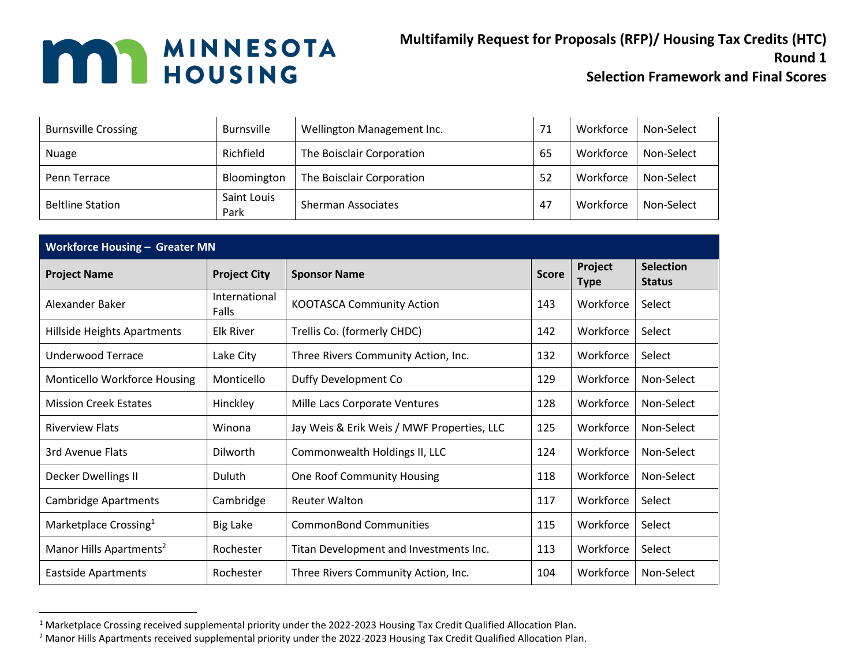**Multifamily Request for Proposals (RFP)/ Housing Tax Credits (HTC) Round 1**

| <b>Burnsville Crossing</b> | <b>Burnsville</b>   | Wellington Management Inc. | 71 | Workforce | Non-Select |
|----------------------------|---------------------|----------------------------|----|-----------|------------|
| <b>Nuage</b>               | Richfield           | The Boisclair Corporation  | 65 | Workforce | Non-Select |
| Penn Terrace               | Bloomington         | The Boisclair Corporation  | 52 | Workforce | Non-Select |
| <b>Beltline Station</b>    | Saint Louis<br>Park | <b>Sherman Associates</b>  | 47 | Workforce | Non-Select |

|                                     | <b>Workforce Housing - Greater MN</b>      |                                            |              |                        |                                   |  |  |
|-------------------------------------|--------------------------------------------|--------------------------------------------|--------------|------------------------|-----------------------------------|--|--|
| <b>Project Name</b>                 | <b>Project City</b><br><b>Sponsor Name</b> |                                            | <b>Score</b> | Project<br><b>Type</b> | <b>Selection</b><br><b>Status</b> |  |  |
| Alexander Baker                     | International<br>Falls                     | <b>KOOTASCA Community Action</b>           | 143          | Workforce              | Select                            |  |  |
| Hillside Heights Apartments         | <b>Elk River</b>                           | Trellis Co. (formerly CHDC)                | 142          | Workforce              | Select                            |  |  |
| Underwood Terrace                   | Lake City                                  | Three Rivers Community Action, Inc.        | 132          | Workforce              | Select                            |  |  |
| Monticello Workforce Housing        | Monticello                                 | Duffy Development Co                       | 129          | Workforce              | Non-Select                        |  |  |
| <b>Mission Creek Estates</b>        | Hinckley                                   | Mille Lacs Corporate Ventures              | 128          | Workforce              | Non-Select                        |  |  |
| <b>Riverview Flats</b>              | Winona                                     | Jay Weis & Erik Weis / MWF Properties, LLC | 125          | Workforce              | Non-Select                        |  |  |
| 3rd Avenue Flats                    | Dilworth                                   | Commonwealth Holdings II, LLC              | 124          | Workforce              | Non-Select                        |  |  |
| Decker Dwellings II                 | Duluth                                     | <b>One Roof Community Housing</b>          | 118          | Workforce              | Non-Select                        |  |  |
| <b>Cambridge Apartments</b>         | Cambridge                                  | <b>Reuter Walton</b>                       | 117          | Workforce              | Select                            |  |  |
| Marketplace Crossing <sup>1</sup>   | <b>Big Lake</b>                            | <b>CommonBond Communities</b>              | 115          | Workforce              | Select                            |  |  |
| Manor Hills Apartments <sup>2</sup> | Rochester                                  | Titan Development and Investments Inc.     | 113          | Workforce              | Select                            |  |  |
| <b>Eastside Apartments</b>          | Rochester                                  | Three Rivers Community Action, Inc.        | 104          | Workforce              | Non-Select                        |  |  |

<sup>&</sup>lt;sup>1</sup> Marketplace Crossing received supplemental priority under the 2022-2023 Housing Tax Credit Qualified Allocation Plan.

<sup>&</sup>lt;sup>2</sup> Manor Hills Apartments received supplemental priority under the 2022-2023 Housing Tax Credit Qualified Allocation Plan.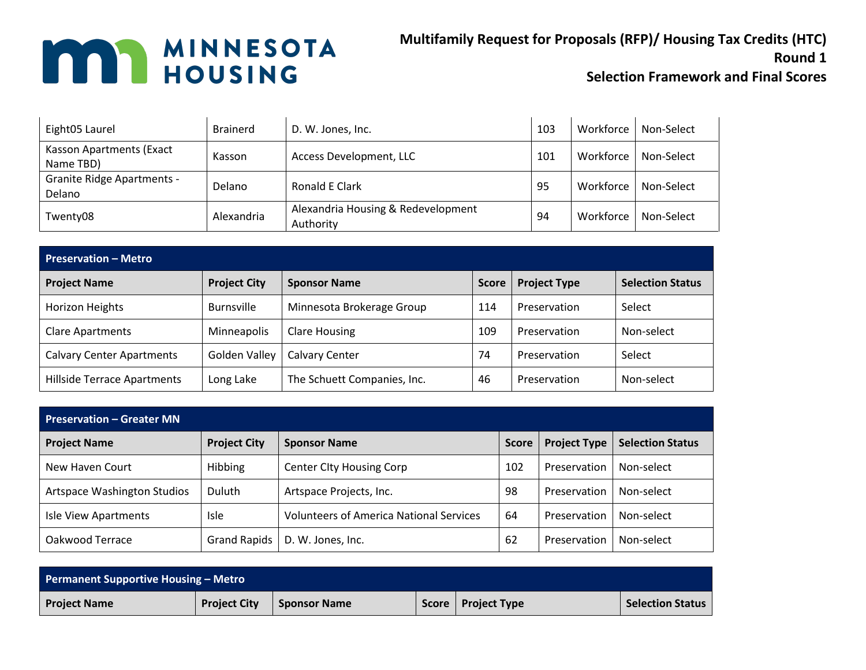**Multifamily Request for Proposals (RFP)/ Housing Tax Credits (HTC) Round 1**

| Eight05 Laurel                              | <b>Brainerd</b> | D. W. Jones, Inc.                               | 103 | Workforce | Non-Select |
|---------------------------------------------|-----------------|-------------------------------------------------|-----|-----------|------------|
| Kasson Apartments (Exact<br>Name TBD)       | Kasson          | Access Development, LLC                         | 101 | Workforce | Non-Select |
| <b>Granite Ridge Apartments -</b><br>Delano | <b>Delano</b>   | Ronald E Clark                                  | 95  | Workforce | Non-Select |
| Twenty08                                    | Alexandria      | Alexandria Housing & Redevelopment<br>Authority | 94  | Workforce | Non-Select |

| <b>Preservation - Metro</b>        |                     |                             |              |                     |                         |  |  |
|------------------------------------|---------------------|-----------------------------|--------------|---------------------|-------------------------|--|--|
| <b>Project Name</b>                | <b>Project City</b> | <b>Sponsor Name</b>         | <b>Score</b> | <b>Project Type</b> | <b>Selection Status</b> |  |  |
| Horizon Heights                    | <b>Burnsville</b>   | Minnesota Brokerage Group   | 114          | Preservation        | Select                  |  |  |
| <b>Clare Apartments</b>            | <b>Minneapolis</b>  | <b>Clare Housing</b>        | 109          | Preservation        | Non-select              |  |  |
| <b>Calvary Center Apartments</b>   | Golden Valley       | <b>Calvary Center</b>       | 74           | Preservation        | Select                  |  |  |
| <b>Hillside Terrace Apartments</b> | Long Lake           | The Schuett Companies, Inc. | 46           | Preservation        | Non-select              |  |  |

| <b>Preservation – Greater MN</b> |                     |                                                |              |                     |                         |
|----------------------------------|---------------------|------------------------------------------------|--------------|---------------------|-------------------------|
| <b>Project Name</b>              | <b>Project City</b> | <b>Sponsor Name</b>                            | <b>Score</b> | <b>Project Type</b> | <b>Selection Status</b> |
| New Haven Court                  | Hibbing             | <b>Center City Housing Corp</b>                | 102          | Preservation        | Non-select              |
| Artspace Washington Studios      | <b>Duluth</b>       | Artspace Projects, Inc.                        | 98           | Preservation        | Non-select              |
| Isle View Apartments             | <b>Isle</b>         | <b>Volunteers of America National Services</b> | 64           | Preservation        | Non-select              |
| Oakwood Terrace                  | <b>Grand Rapids</b> | D. W. Jones, Inc.                              | 62           | Preservation        | Non-select              |

| <b>Permanent Supportive Housing - Metro</b> |                     |                     |  |                      |                         |
|---------------------------------------------|---------------------|---------------------|--|----------------------|-------------------------|
| <b>Project Name</b>                         | <b>Project City</b> | <b>Sponsor Name</b> |  | Score   Project Type | <b>Selection Status</b> |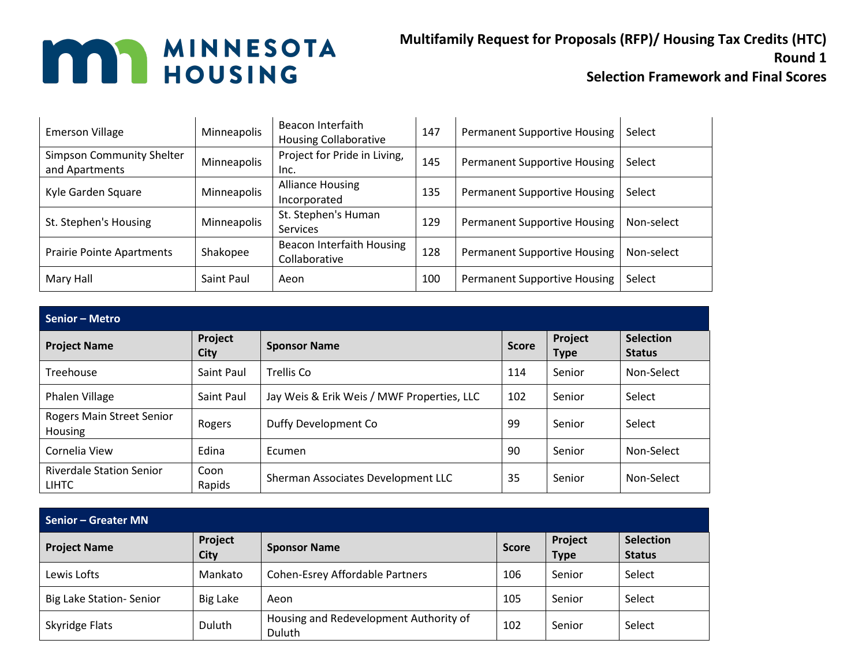#### **Multifamily Request for Proposals (RFP)/ Housing Tax Credits (HTC) Round 1**

| <b>Emerson Village</b>                             | Minneapolis | Beacon Interfaith<br><b>Housing Collaborative</b> | 147 | <b>Permanent Supportive Housing</b> | Select     |
|----------------------------------------------------|-------------|---------------------------------------------------|-----|-------------------------------------|------------|
| <b>Simpson Community Shelter</b><br>and Apartments | Minneapolis | Project for Pride in Living,<br>Inc.              | 145 | <b>Permanent Supportive Housing</b> | Select     |
| Kyle Garden Square                                 | Minneapolis | <b>Alliance Housing</b><br>Incorporated           | 135 | <b>Permanent Supportive Housing</b> | Select     |
| St. Stephen's Housing                              | Minneapolis | St. Stephen's Human<br><b>Services</b>            | 129 | <b>Permanent Supportive Housing</b> | Non-select |
| <b>Prairie Pointe Apartments</b>                   | Shakopee    | Beacon Interfaith Housing<br>Collaborative        | 128 | <b>Permanent Supportive Housing</b> | Non-select |
| Mary Hall                                          | Saint Paul  | Aeon                                              | 100 | <b>Permanent Supportive Housing</b> | Select     |

| <b>Senior - Metro</b>                           |                        |                                            |              |                        |                                   |  |
|-------------------------------------------------|------------------------|--------------------------------------------|--------------|------------------------|-----------------------------------|--|
| <b>Project Name</b>                             | Project<br><b>City</b> | <b>Sponsor Name</b>                        | <b>Score</b> | Project<br><b>Type</b> | <b>Selection</b><br><b>Status</b> |  |
| Treehouse                                       | Saint Paul             | Trellis Co                                 | 114          | Senior                 | Non-Select                        |  |
| Phalen Village                                  | Saint Paul             | Jay Weis & Erik Weis / MWF Properties, LLC | 102          | Senior                 | Select                            |  |
| Rogers Main Street Senior<br>Housing            | Rogers                 | Duffy Development Co                       | 99           | Senior                 | Select                            |  |
| Cornelia View                                   | Edina                  | Ecumen                                     | 90           | Senior                 | Non-Select                        |  |
| <b>Riverdale Station Senior</b><br><b>LIHTC</b> | Coon<br>Rapids         | Sherman Associates Development LLC         | 35           | Senior                 | Non-Select                        |  |

| <b>Senior - Greater MN</b>      |                        |                                                  |              |                        |                                   |
|---------------------------------|------------------------|--------------------------------------------------|--------------|------------------------|-----------------------------------|
| <b>Project Name</b>             | Project<br><b>City</b> | <b>Sponsor Name</b>                              | <b>Score</b> | Project<br><b>Type</b> | <b>Selection</b><br><b>Status</b> |
| Lewis Lofts                     | Mankato                | <b>Cohen-Esrey Affordable Partners</b>           | 106          | Senior                 | Select                            |
| <b>Big Lake Station- Senior</b> | <b>Big Lake</b>        | Aeon                                             | 105          | Senior                 | Select                            |
| Skyridge Flats                  | Duluth                 | Housing and Redevelopment Authority of<br>Duluth | 102          | Senior                 | Select                            |